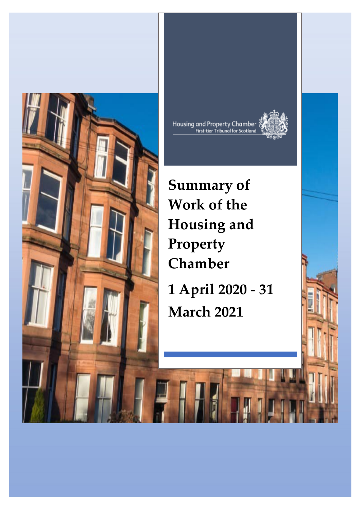



**Summary of Work of the Housing and Property Chamber**

**1 April 2020 - 31 March 2021**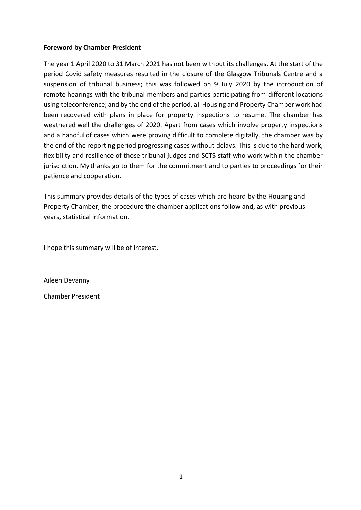#### **Foreword by Chamber President**

The year 1 April 2020 to 31 March 2021 has not been without its challenges. At the start of the period Covid safety measures resulted in the closure of the Glasgow Tribunals Centre and a suspension of tribunal business; this was followed on 9 July 2020 by the introduction of remote hearings with the tribunal members and parties participating from different locations using teleconference; and by the end of the period, all Housing and Property Chamber work had been recovered with plans in place for property inspections to resume. The chamber has weathered well the challenges of 2020. Apart from cases which involve property inspections and a handful of cases which were proving difficult to complete digitally, the chamber was by the end of the reporting period progressing cases without delays. This is due to the hard work, flexibility and resilience of those tribunal judges and SCTS staff who work within the chamber jurisdiction. My thanks go to them for the commitment and to parties to proceedings for their patience and cooperation.

This summary provides details of the types of cases which are heard by the Housing and Property Chamber, the procedure the chamber applications follow and, as with previous years, statistical information.

I hope this summary will be of interest.

Aileen Devanny

Chamber President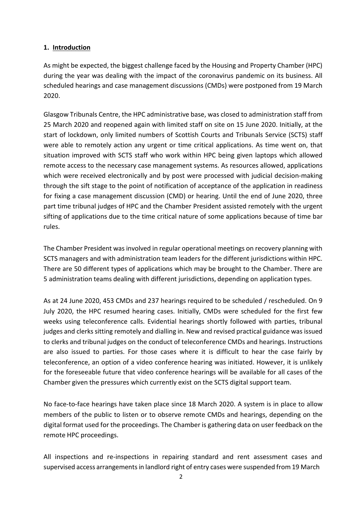### **1. Introduction**

As might be expected, the biggest challenge faced by the Housing and Property Chamber (HPC) during the year was dealing with the impact of the coronavirus pandemic on its business. All scheduled hearings and case management discussions (CMDs) were postponed from 19 March 2020.

Glasgow Tribunals Centre, the HPC administrative base, was closed to administration staff from 25 March 2020 and reopened again with limited staff on site on 15 June 2020. Initially, at the start of lockdown, only limited numbers of Scottish Courts and Tribunals Service (SCTS) staff were able to remotely action any urgent or time critical applications. As time went on, that situation improved with SCTS staff who work within HPC being given laptops which allowed remote access to the necessary case management systems. As resources allowed, applications which were received electronically and by post were processed with judicial decision-making through the sift stage to the point of notification of acceptance of the application in readiness for fixing a case management discussion (CMD) or hearing. Until the end of June 2020, three part time tribunal judges of HPC and the Chamber President assisted remotely with the urgent sifting of applications due to the time critical nature of some applications because of time bar rules.

The Chamber President was involved in regular operational meetings on recovery planning with SCTS managers and with administration team leaders for the different jurisdictions within HPC. There are 50 different types of applications which may be brought to the Chamber. There are 5 administration teams dealing with different jurisdictions, depending on application types.

As at 24 June 2020, 453 CMDs and 237 hearings required to be scheduled / rescheduled. On 9 July 2020, the HPC resumed hearing cases. Initially, CMDs were scheduled for the first few weeks using teleconference calls. Evidential hearings shortly followed with parties, tribunal judges and clerks sitting remotely and dialling in. New and revised practical guidance was issued to clerks and tribunal judges on the conduct of teleconference CMDs and hearings. Instructions are also issued to parties. For those cases where it is difficult to hear the case fairly by teleconference, an option of a video conference hearing was initiated. However, it is unlikely for the foreseeable future that video conference hearings will be available for all cases of the Chamber given the pressures which currently exist on the SCTS digital support team.

No face-to-face hearings have taken place since 18 March 2020. A system is in place to allow members of the public to listen or to observe remote CMDs and hearings, depending on the digital format used for the proceedings. The Chamber is gathering data on user feedback on the remote HPC proceedings.

All inspections and re-inspections in repairing standard and rent assessment cases and supervised access arrangementsin landlord right of entry cases were suspended from 19 March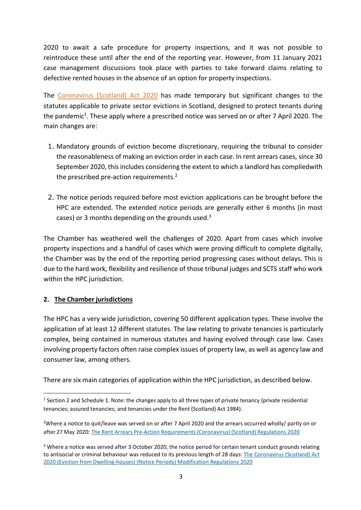2020 to await a safe procedure for property inspections, and it was not possible to reintroduce these until after the end of the reporting year. However, from 11 January 2021 case management discussions took place with parties to take forward claims relating to defective rented houses in the absence of an option for property inspections.

The [Coronavirus](https://www.legislation.gov.uk/asp/2020/7/contents) (Scotland) Act 2020 has made temporary but significant changes to the statutes applicable to private sector evictions in Scotland, designed to protect tenants during the pandemic<sup>1</sup>. These apply where a prescribed notice was served on or after 7 April 2020. The main changes are:

- 1. Mandatory grounds of eviction become discretionary, requiring the tribunal to consider the reasonableness of making an eviction order in each case. In rent arrears cases, since 30 September 2020, this includes considering the extent to which a landlord has compliedwith the prescribed pre-action requirement[s.](#page-3-1)<sup>2</sup>
- 2. The notice periods required before most eviction applications can be brought before the HPC are extended. The extended notice periods are generally either 6 months (in most cases) or 3 months depending on the grounds used.<sup>3</sup>

The Chamber has weathered well the challenges of 2020. Apart from cases which involve property inspections and a handful of cases which were proving difficult to complete digitally, the Chamber was by the end of the reporting period progressing cases without delays. This is due to the hard work, flexibility and resilience of those tribunal judges and SCTS staff who work within the HPC jurisdiction.

### **2. The Chamber jurisdictions**

The HPC has a very wide jurisdiction, covering 50 different application types. These involve the application of at least 12 different statutes. The law relating to private tenancies is particularly complex, being contained in numerous statutes and having evolved through case law. Cases involving property factors often raise complex issues of property law, as well as agency law and consumer law, among others.

There are six main categories of application within the HPC jurisdiction, as described below.

<span id="page-3-0"></span><sup>&</sup>lt;sup>1</sup> Section 2 and Schedule 1. Note: the changes apply to all three types of private tenancy (private residential tenancies; assured tenancies; and tenancies under the Rent (Scotland) Act 1984).

<span id="page-3-1"></span><sup>&</sup>lt;sup>2</sup>Where a notice to quit/leave was served on or after 7 April 2020 and the arrears occurred wholly/ partly on or after 27 May 2020: The Rent Arrears Pre-Action [Requirements](https://www.legislation.gov.uk/sdsi/2020/9780111046012/contents) (Coronavirus) (Scotland) Regulations 2020

<span id="page-3-2"></span><sup>&</sup>lt;sup>3</sup> Where a notice was served after 3 October 2020, the notice period for certain tenant conduct grounds relating to antisocial or criminal behaviour was reduced to its previous length of 28 days[: The Coronavirus \(Scotland\) Act](https://www.legislation.gov.uk/ssi/2020/270/contents/made) 2020 (Eviction from Dwelling-houses) (Notice Periods) [Modification Regulations 2020](https://www.legislation.gov.uk/ssi/2020/270/contents/made)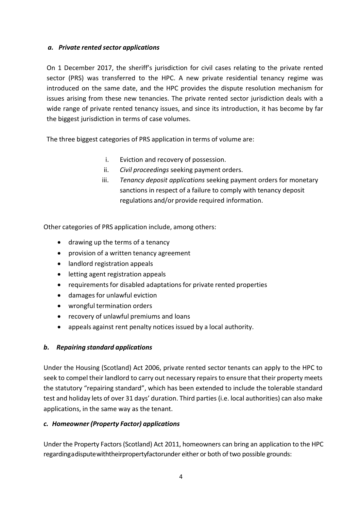### *a. Private rented sector applications*

On 1 December 2017, the sheriff's jurisdiction for civil cases relating to the private rented sector (PRS) was transferred to the HPC. A new private residential tenancy regime was introduced on the same date, and the HPC provides the dispute resolution mechanism for issues arising from these new tenancies. The private rented sector jurisdiction deals with a wide range of private rented tenancy issues, and since its introduction, it has become by far the biggest jurisdiction in terms of case volumes.

The three biggest categories of PRS application in terms of volume are:

- i. Eviction and recovery of possession.
- ii. *Civil proceedings* seeking payment orders.
- iii. *Tenancy deposit applications* seeking payment orders for monetary sanctions in respect of a failure to comply with tenancy deposit regulations and/or provide required information.

Other categories of PRS application include, among others:

- drawing up the terms of a tenancy
- provision of a written tenancy agreement
- landlord registration appeals
- letting agent registration appeals
- requirements for disabled adaptations for private rented properties
- damages for unlawful eviction
- wrongful termination orders
- recovery of unlawful premiums and loans
- appeals against rent penalty notices issued by a local authority.

## *b. Repairing standard applications*

Under the Housing (Scotland) Act 2006, private rented sector tenants can apply to the HPC to seek to compel their landlord to carry out necessary repairs to ensure that their property meets the statutory "repairing standard", which has been extended to include the tolerable standard test and holiday lets of over 31 days' duration. Third parties (i.e. local authorities) can also make applications, in the same way as the tenant.

## *c. Homeowner (Property Factor) applications*

Under the Property Factors(Scotland) Act 2011, homeowners can bring an application to the HPC regardingadisputewiththeirpropertyfactorunder either or both of two possible grounds: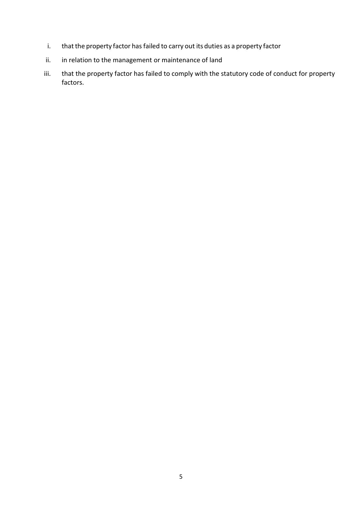- i. that the property factor has failed to carry out its duties as a property factor
- ii. in relation to the management or maintenance of land
- iii. that the property factor has failed to comply with the statutory code of conduct for property factors.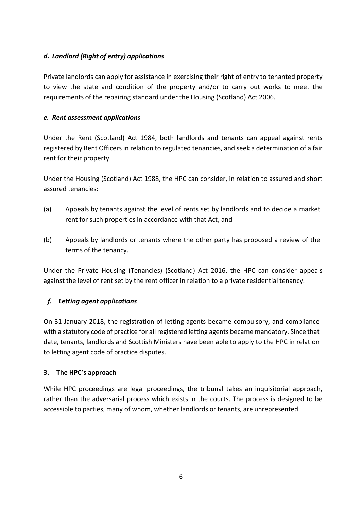## *d. Landlord (Right of entry) applications*

Private landlords can apply for assistance in exercising their right of entry to tenanted property to view the state and condition of the property and/or to carry out works to meet the requirements of the repairing standard under the Housing (Scotland) Act 2006.

### *e. Rent assessment applications*

Under the Rent (Scotland) Act 1984, both landlords and tenants can appeal against rents registered by Rent Officers in relation to regulated tenancies, and seek a determination of a fair rent for their property.

Under the Housing (Scotland) Act 1988, the HPC can consider, in relation to assured and short assured tenancies:

- (a) Appeals by tenants against the level of rents set by landlords and to decide a market rent for such properties in accordance with that Act, and
- (b) Appeals by landlords or tenants where the other party has proposed a review of the terms of the tenancy.

Under the Private Housing (Tenancies) (Scotland) Act 2016, the HPC can consider appeals against the level of rent set by the rent officer in relation to a private residential tenancy.

### *f. Letting agent applications*

On 31 January 2018, the registration of letting agents became compulsory, and compliance with a statutory code of practice for all registered letting agents became mandatory. Since that date, tenants, landlords and Scottish Ministers have been able to apply to the HPC in relation to letting agent code of practice disputes.

### **3. The HPC's approach**

While HPC proceedings are legal proceedings, the tribunal takes an inquisitorial approach, rather than the adversarial process which exists in the courts. The process is designed to be accessible to parties, many of whom, whether landlords or tenants, are unrepresented.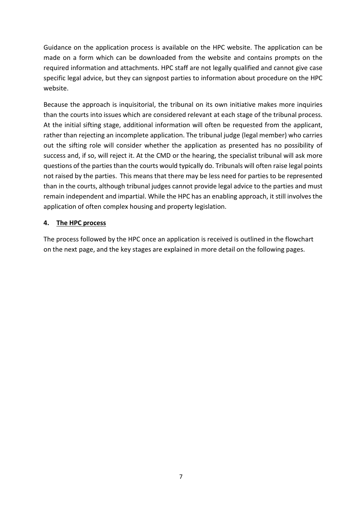Guidance on the application process is available on the HPC website. The application can be made on a form which can be downloaded from the website and contains prompts on the required information and attachments. HPC staff are not legally qualified and cannot give case specific legal advice, but they can signpost parties to information about procedure on the HPC website.

Because the approach is inquisitorial, the tribunal on its own initiative makes more inquiries than the courts into issues which are considered relevant at each stage of the tribunal process. At the initial sifting stage, additional information will often be requested from the applicant, rather than rejecting an incomplete application. The tribunal judge (legal member) who carries out the sifting role will consider whether the application as presented has no possibility of success and, if so, will reject it. At the CMD or the hearing, the specialist tribunal will ask more questions of the partiesthan the courts would typically do. Tribunals will often raise legal points not raised by the parties. This means that there may be less need for parties to be represented than in the courts, although tribunal judges cannot provide legal advice to the parties and must remain independent and impartial. While the HPC has an enabling approach, it still involves the application of often complex housing and property legislation.

### **4. The HPC process**

The process followed by the HPC once an application is received is outlined in the flowchart on the next page, and the key stages are explained in more detail on the following pages.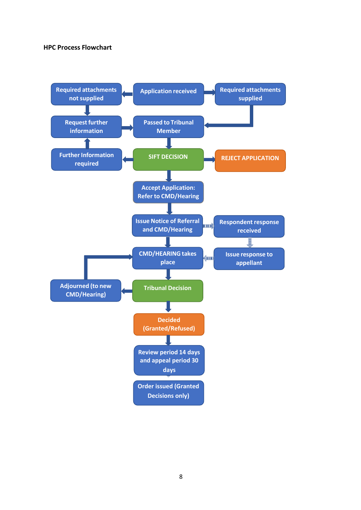#### **HPC Process Flowchart**

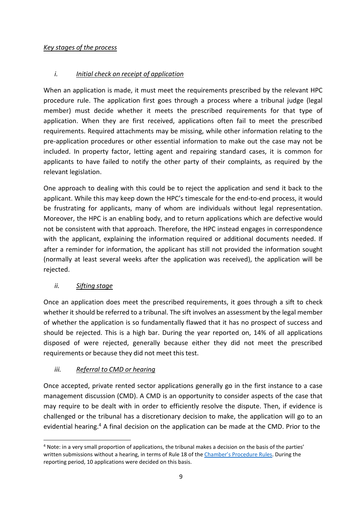### *Key stages of the process*

## *i. Initial check on receipt of application*

When an application is made, it must meet the requirements prescribed by the relevant HPC procedure rule. The application first goes through a process where a tribunal judge (legal member) must decide whether it meets the prescribed requirements for that type of application. When they are first received, applications often fail to meet the prescribed requirements. Required attachments may be missing, while other information relating to the pre-application procedures or other essential information to make out the case may not be included. In property factor, letting agent and repairing standard cases, it is common for applicants to have failed to notify the other party of their complaints, as required by the relevant legislation.

One approach to dealing with this could be to reject the application and send it back to the applicant. While this may keep down the HPC's timescale for the end-to-end process, it would be frustrating for applicants, many of whom are individuals without legal representation. Moreover, the HPC is an enabling body, and to return applications which are defective would not be consistent with that approach. Therefore, the HPC instead engages in correspondence with the applicant, explaining the information required or additional documents needed. If after a reminder for information, the applicant has still not provided the information sought (normally at least several weeks after the application was received), the application will be rejected.

## *ii. Sifting stage*

Once an application does meet the prescribed requirements, it goes through a sift to check whether it should be referred to a tribunal. The sift involves an assessment by the legal member of whether the application is so fundamentally flawed that it has no prospect of success and should be rejected. This is a high bar. During the year reported on, 14% of all applications disposed of were rejected, generally because either they did not meet the prescribed requirements or because they did not meet this test.

# *iii. Referral to CMD or hearing*

Once accepted, private rented sector applications generally go in the first instance to a case management discussion (CMD). A CMD is an opportunity to consider aspects of the case that may require to be dealt with in order to efficiently resolve the dispute. Then, if evidence is challenged or the tribunal has a discretionary decision to make, the application will go to an evidential hearin[g.](#page-9-0)<sup>4</sup> A final decision on the application can be made at the CMD. Prior to the

<span id="page-9-0"></span><sup>4</sup> Note: in a very small proportion of applications, the tribunal makes a decision on the basis of the parties' written submissions without a hearing, in terms of Rule 18 of the [Chamber's Procedure Rules. D](http://www.legislation.gov.uk/ssi/2017/328/contents)uring the reporting period, 10 applications were decided on this basis.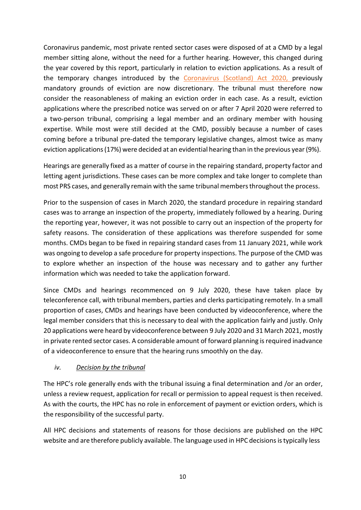Coronavirus pandemic, most private rented sector cases were disposed of at a CMD by a legal member sitting alone, without the need for a further hearing. However, this changed during the year covered by this report, particularly in relation to eviction applications. As a result of the temporary changes introduced by the [Coronavirus](https://www.legislation.gov.uk/asp/2020/7/contents) (Scotland) Act 2020, previously mandatory grounds of eviction are now discretionary. The tribunal must therefore now consider the reasonableness of making an eviction order in each case. As a result, eviction applications where the prescribed notice was served on or after 7 April 2020 were referred to a two-person tribunal, comprising a legal member and an ordinary member with housing expertise. While most were still decided at the CMD, possibly because a number of cases coming before a tribunal pre-dated the temporary legislative changes, almost twice as many eviction applications(17%) were decided at an evidential hearing than in the previous year(9%).

Hearings are generally fixed as a matter of course in the repairing standard, property factor and letting agent jurisdictions. These cases can be more complex and take longer to complete than most PRS cases, and generally remain with the same tribunal membersthroughout the process.

Prior to the suspension of cases in March 2020, the standard procedure in repairing standard cases was to arrange an inspection of the property, immediately followed by a hearing. During the reporting year, however, it was not possible to carry out an inspection of the property for safety reasons. The consideration of these applications was therefore suspended for some months. CMDs began to be fixed in repairing standard cases from 11 January 2021, while work was ongoing to develop a safe procedure for property inspections. The purpose of the CMD was to explore whether an inspection of the house was necessary and to gather any further information which was needed to take the application forward.

Since CMDs and hearings recommenced on 9 July 2020, these have taken place by teleconference call, with tribunal members, parties and clerks participating remotely. In a small proportion of cases, CMDs and hearings have been conducted by videoconference, where the legal member considers that this is necessary to deal with the application fairly and justly. Only 20 applications were heard by videoconference between 9 July 2020 and 31 March 2021, mostly in private rented sector cases. A considerable amount of forward planning isrequired inadvance of a videoconference to ensure that the hearing runs smoothly on the day.

## *iv. Decision by the tribunal*

The HPC's role generally ends with the tribunal issuing a final determination and /or an order, unless a review request, application for recall or permission to appeal request is then received. As with the courts, the HPC has no role in enforcement of payment or eviction orders, which is the responsibility of the successful party.

All HPC decisions and statements of reasons for those decisions are published on the HPC website and are therefore publicly available. The language used in HPC decisions is typically less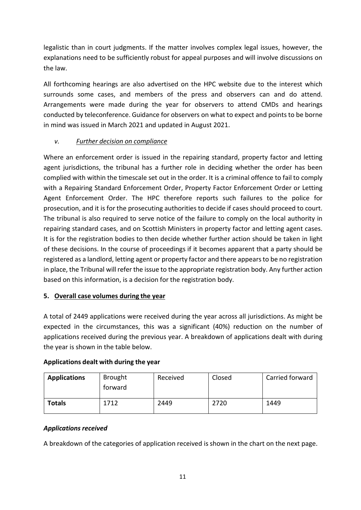legalistic than in court judgments. If the matter involves complex legal issues, however, the explanations need to be sufficiently robust for appeal purposes and will involve discussions on the law.

All forthcoming hearings are also advertised on the HPC website due to the interest which surrounds some cases, and members of the press and observers can and do attend. Arrangements were made during the year for observers to attend CMDs and hearings conducted by teleconference. Guidance for observers on what to expect and points to be borne in mind was issued in March 2021 and updated in August 2021.

## *v. Further decision on compliance*

Where an enforcement order is issued in the repairing standard, property factor and letting agent jurisdictions, the tribunal has a further role in deciding whether the order has been complied with within the timescale set out in the order. It is a criminal offence to fail to comply with a Repairing Standard Enforcement Order, Property Factor Enforcement Order or Letting Agent Enforcement Order. The HPC therefore reports such failures to the police for prosecution, and it is for the prosecuting authorities to decide if cases should proceed to court. The tribunal is also required to serve notice of the failure to comply on the local authority in repairing standard cases, and on Scottish Ministers in property factor and letting agent cases. It is for the registration bodies to then decide whether further action should be taken in light of these decisions. In the course of proceedings if it becomes apparent that a party should be registered as a landlord, letting agent or property factor and there appearsto be no registration in place, the Tribunal will refer the issue to the appropriate registration body. Any further action based on this information, is a decision for the registration body.

## **5. Overall case volumes during the year**

A total of 2449 applications were received during the year across all jurisdictions. As might be expected in the circumstances, this was a significant (40%) reduction on the number of applications received during the previous year. A breakdown of applications dealt with during the year is shown in the table below.

### **Applications dealt with during the year**

| <b>Applications</b> | <b>Brought</b><br>torward | Received | Closed | Carried forward |
|---------------------|---------------------------|----------|--------|-----------------|
| <b>Totals</b>       | 1712                      | 2449     | 2720   | 1449            |

### *Applications received*

A breakdown of the categories of application received is shown in the chart on the next page.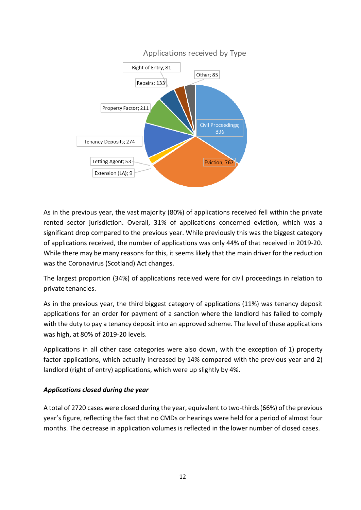

As in the previous year, the vast majority (80%) of applications received fell within the private rented sector jurisdiction. Overall, 31% of applications concerned eviction, which was a significant drop compared to the previous year. While previously this was the biggest category of applications received, the number of applications was only 44% of that received in 2019-20. While there may be many reasons for this, it seems likely that the main driver for the reduction was the Coronavirus (Scotland) Act changes.

The largest proportion (34%) of applications received were for civil proceedings in relation to private tenancies.

As in the previous year, the third biggest category of applications (11%) was tenancy deposit applications for an order for payment of a sanction where the landlord has failed to comply with the duty to pay a tenancy deposit into an approved scheme. The level of these applications was high, at 80% of 2019-20 levels.

Applications in all other case categories were also down, with the exception of 1) property factor applications, which actually increased by 14% compared with the previous year and 2) landlord (right of entry) applications, which were up slightly by 4%.

### *Applications closed during the year*

A total of 2720 cases were closed during the year, equivalent to two-thirds(66%) of the previous year's figure, reflecting the fact that no CMDs or hearings were held for a period of almost four months. The decrease in application volumes is reflected in the lower number of closed cases.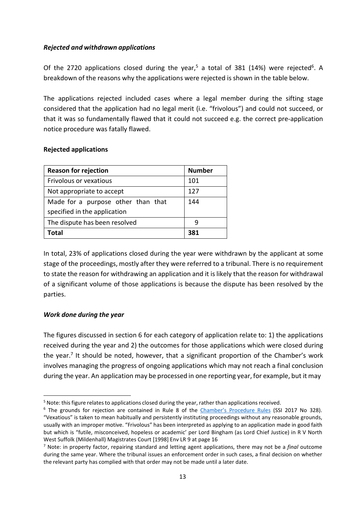#### *Rejected and withdrawn applications*

Of the 2720 applications closed during the yea[r,](#page-13-0)<sup>5</sup> a total of 381 (14%) were rejected<sup>6</sup>. A breakdown of the reasons why the applications were rejected is shown in the table below.

The applications rejected included cases where a legal member during the sifting stage considered that the application had no legal merit (i.e. "frivolous") and could not succeed, or that it was so fundamentally flawed that it could not succeed e.g. the correct pre-application notice procedure was fatally flawed.

#### **Rejected applications**

| <b>Reason for rejection</b>        | <b>Number</b> |
|------------------------------------|---------------|
| <b>Frivolous or vexatious</b>      | 101           |
| Not appropriate to accept          | 127           |
| Made for a purpose other than that | 144           |
| specified in the application       |               |
| The dispute has been resolved      | q             |
| Total                              | 381           |

In total, 23% of applications closed during the year were withdrawn by the applicant at some stage of the proceedings, mostly after they were referred to a tribunal. There is no requirement to state the reason for withdrawing an application and it is likely that the reason for withdrawal of a significant volume of those applications is because the dispute has been resolved by the parties.

### *Work done during the year*

The figures discussed in section 6 for each category of application relate to: 1) the applications received during the year and 2) the outcomes for those applications which were closed during the yea[r.](#page-13-2)<sup>7</sup> It should be noted, however, that a significant proportion of the Chamber's work involves managing the progress of ongoing applications which may not reach a final conclusion during the year. An application may be processed in one reporting year, for example, but it may

<span id="page-13-1"></span><span id="page-13-0"></span> $5$  Note: this figure relates to applications closed during the year, rather than applications received.

<sup>&</sup>lt;sup>6</sup> The grounds for rejection are contained in Rule 8 of the *[Chamber's Procedure Rules](http://www.legislation.gov.uk/ssi/2017/328/contents)* (SSI 2017 No 328). "Vexatious" is taken to mean habitually and persistently instituting proceedings without any reasonable grounds, usually with an improper motive. "Frivolous" has been interpreted as applying to an application made in good faith but which is "futile, misconceived, hopeless or academic' per Lord Bingham (as Lord Chief Justice) in R V North West Suffolk (Mildenhall) Magistrates Court [1998] Env LR 9 at page 16

<span id="page-13-2"></span><sup>7</sup> Note: in property factor, repairing standard and letting agent applications, there may not be a *final* outcome during the same year. Where the tribunal issues an enforcement order in such cases, a final decision on whether the relevant party has complied with that order may not be made until a later date.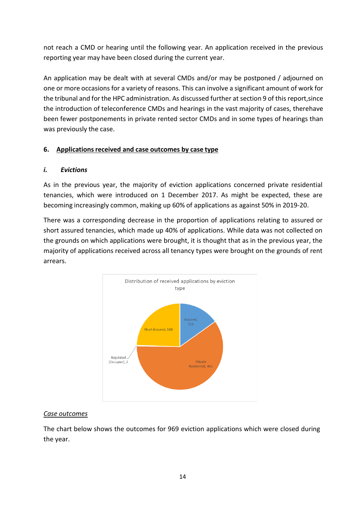not reach a CMD or hearing until the following year. An application received in the previous reporting year may have been closed during the current year.

An application may be dealt with at several CMDs and/or may be postponed / adjourned on one or more occasions for a variety of reasons. This can involve a significant amount of work for the tribunal and for the HPC administration. As discussed further at section 9 of this report, since the introduction of teleconference CMDs and hearings in the vast majority of cases, therehave been fewer postponements in private rented sector CMDs and in some types of hearings than was previously the case.

### **6. Applicationsreceived and case outcomes by case type**

### *i. Evictions*

As in the previous year, the majority of eviction applications concerned private residential tenancies, which were introduced on 1 December 2017. As might be expected, these are becoming increasingly common, making up 60% of applications as against 50% in 2019-20.

There was a corresponding decrease in the proportion of applications relating to assured or short assured tenancies, which made up 40% of applications. While data was not collected on the grounds on which applications were brought, it is thought that as in the previous year, the majority of applications received across all tenancy types were brought on the grounds of rent arrears.



## *Case outcomes*

The chart below shows the outcomes for 969 eviction applications which were closed during the year.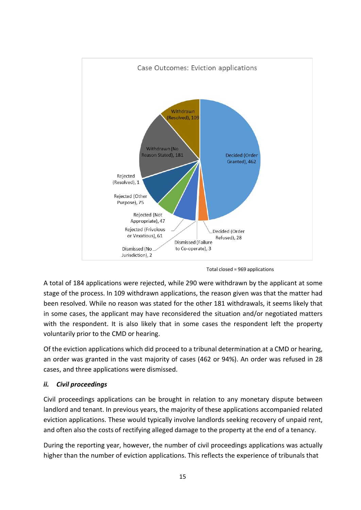

Total closed = 969 applications

A total of 184 applications were rejected, while 290 were withdrawn by the applicant at some stage of the process. In 109 withdrawn applications, the reason given was that the matter had been resolved. While no reason was stated for the other 181 withdrawals, it seems likely that in some cases, the applicant may have reconsidered the situation and/or negotiated matters with the respondent. It is also likely that in some cases the respondent left the property voluntarily prior to the CMD or hearing.

Of the eviction applications which did proceed to a tribunal determination at a CMD or hearing, an order was granted in the vast majority of cases (462 or 94%). An order was refused in 28 cases, and three applications were dismissed.

### *ii. Civil proceedings*

Civil proceedings applications can be brought in relation to any monetary dispute between landlord and tenant. In previous years, the majority of these applications accompanied related eviction applications. These would typically involve landlords seeking recovery of unpaid rent, and often also the costs of rectifying alleged damage to the property at the end of a tenancy.

During the reporting year, however, the number of civil proceedings applications was actually higher than the number of eviction applications. This reflects the experience of tribunals that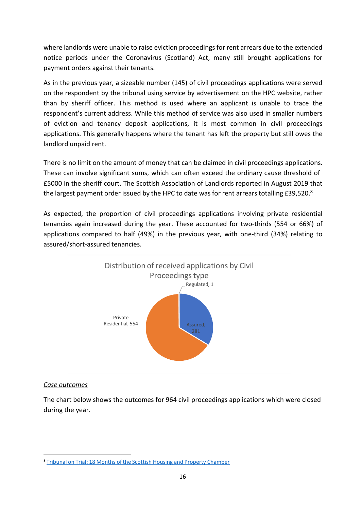where landlords were unable to raise eviction proceedings for rent arrears due to the extended notice periods under the Coronavirus (Scotland) Act, many still brought applications for payment orders against their tenants.

As in the previous year, a sizeable number (145) of civil proceedings applications were served on the respondent by the tribunal using service by advertisement on the HPC website, rather than by sheriff officer. This method is used where an applicant is unable to trace the respondent's current address. While this method of service was also used in smaller numbers of eviction and tenancy deposit applications, it is most common in civil proceedings applications. This generally happens where the tenant has left the property but still owes the landlord unpaid rent.

There is no limit on the amount of money that can be claimed in civil proceedings applications. These can involve significant sums, which can often exceed the ordinary cause threshold of £5000 in the sheriff court. The Scottish Association of Landlords reported in August 2019 that the largest payment order issued by the HPC to date was for rent arrears totalling  $£39,520.^8$ 

As expected, the proportion of civil proceedings applications involving private residential tenancies again increased during the year. These accounted for two-thirds (554 or 66%) of applications compared to half (49%) in the previous year, with one-third (34%) relating to assured/short-assured tenancies.



### *Case outcomes*

The chart below shows the outcomes for 964 civil proceedings applications which were closed during the year.

<span id="page-16-0"></span><sup>8</sup> Tribunal on Trial: 18 Months of the Scottish Housing and Property [Chamber](https://research.rla.org.uk/observatory-blog/research-blog/tribunal-on-trial-18-months-of-the-scottish-housing-property-chamber/)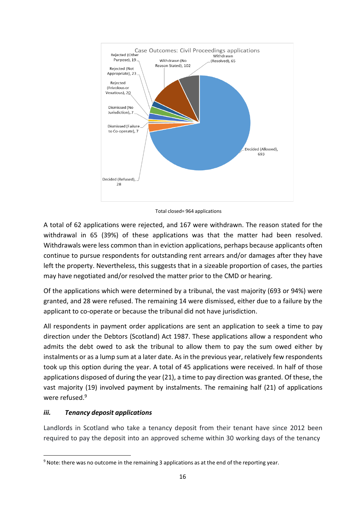

Total closed= 964 applications

A total of 62 applications were rejected, and 167 were withdrawn. The reason stated for the withdrawal in 65 (39%) of these applications was that the matter had been resolved. Withdrawals were less common than in eviction applications, perhaps because applicants often continue to pursue respondents for outstanding rent arrears and/or damages after they have left the property. Nevertheless, this suggests that in a sizeable proportion of cases, the parties may have negotiated and/or resolved the matter prior to the CMD or hearing.

Of the applications which were determined by a tribunal, the vast majority (693 or 94%) were granted, and 28 were refused. The remaining 14 were dismissed, either due to a failure by the applicant to co-operate or because the tribunal did not have jurisdiction.

All respondents in payment order applications are sent an application to seek a time to pay direction under the Debtors (Scotland) Act 1987. These applications allow a respondent who admits the debt owed to ask the tribunal to allow them to pay the sum owed either by instalments or as a lump sum at a later date. As in the previous year, relatively few respondents took up this option during the year. A total of 45 applications were received. In half of those applications disposed of during the year (21), a time to pay direction was granted. Of these, the vast majority (19) involved payment by instalments. The remaining half (21) of applications were refused.<sup>9</sup>

## *iii. Tenancy deposit applications*

Landlords in Scotland who take a tenancy deposit from their tenant have since 2012 been required to pay the deposit into an approved scheme within 30 working days of the tenancy

<span id="page-17-0"></span><sup>9</sup> Note: there was no outcome in the remaining 3 applications as at the end of the reporting year.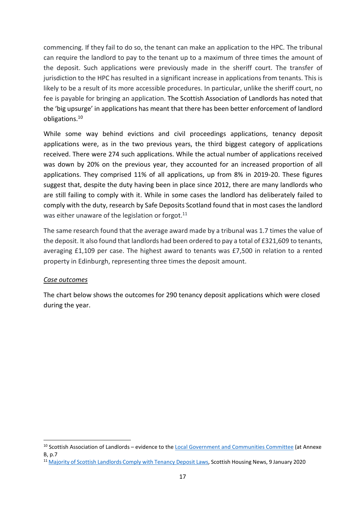commencing. If they fail to do so, the tenant can make an application to the HPC. The tribunal can require the landlord to pay to the tenant up to a maximum of three times the amount of the deposit. Such applications were previously made in the sheriff court. The transfer of jurisdiction to the HPC has resulted in a significant increase in applications from tenants. This is likely to be a result of its more accessible procedures. In particular, unlike the sheriff court, no fee is payable for bringing an application. The Scottish Association of Landlords has noted that the 'big upsurge' in applications has meant that there has been better enforcement of landlord obligation[s.](#page-18-0) 10

While some way behind evictions and civil proceedings applications, tenancy deposit applications were, as in the two previous years, the third biggest category of applications received. There were 274 such applications. While the actual number of applications received was down by 20% on the previous year, they accounted for an increased proportion of all applications. They comprised 11% of all applications, up from 8% in 2019-20. These figures suggest that, despite the duty having been in place since 2012, there are many landlords who are still failing to comply with it. While in some cases the landlord has deliberately failed to comply with the duty, research by Safe Deposits Scotland found that in most cases the landlord was either unaware of the legislation or forgot.<sup>11</sup>

The same research found that the average award made by a tribunal was 1.7 times the value of the deposit. It also found that landlords had been ordered to pay a total of £321,609 to tenants, averaging £1,109 per case. The highest award to tenants was £7,500 in relation to a rented property in Edinburgh, representing three times the deposit amount.

### *Case outcomes*

The chart below shows the outcomes for 290 tenancy deposit applications which were closed during the year.

<span id="page-18-0"></span><sup>&</sup>lt;sup>10</sup> Scottish Association of Landlords – evidence to the [Local Government and Communities Committee](https://www.parliament.scot/S5_Local_Gov/Public11March.pdf) (at Annexe B, p.7

<span id="page-18-1"></span><sup>&</sup>lt;sup>11</sup> Majority of Scottish [Landlords](https://www.scottishhousingnews.com/article/majority-of-scottish-landlords-comply-with-tenancy-deposit-laws) Comply with Tenancy Deposit Laws, Scottish Housing News, 9 January 2020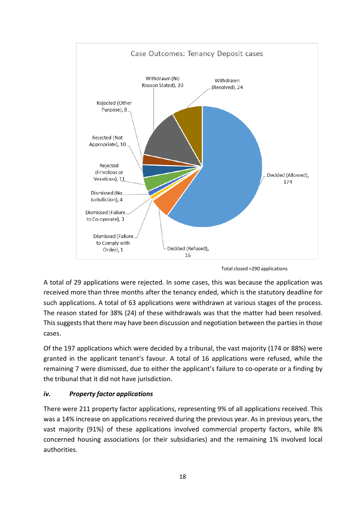

Total closed =290 applications

A total of 29 applications were rejected. In some cases, this was because the application was received more than three months after the tenancy ended, which is the statutory deadline for such applications. A total of 63 applications were withdrawn at various stages of the process. The reason stated for 38% (24) of these withdrawals was that the matter had been resolved. This suggests that there may have been discussion and negotiation between the parties in those cases.

Of the 197 applications which were decided by a tribunal, the vast majority (174 or 88%) were granted in the applicant tenant's favour. A total of 16 applications were refused, while the remaining 7 were dismissed, due to either the applicant's failure to co-operate or a finding by the tribunal that it did not have jurisdiction.

## *iv. Property factor applications*

There were 211 property factor applications, representing 9% of all applications received. This was a 14% increase on applications received during the previous year. As in previous years, the vast majority (91%) of these applications involved commercial property factors, while 8% concerned housing associations (or their subsidiaries) and the remaining 1% involved local authorities.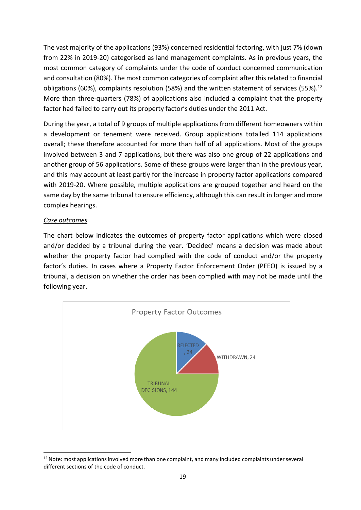The vast majority of the applications (93%) concerned residential factoring, with just 7% (down from 22% in 2019-20) categorised as land management complaints. As in previous years, the most common category of complaints under the code of conduct concerned communication and consultation (80%). The most common categories of complaint after this related to financial obligations (60%), complaints resolution (58%) and the written statement of services (55%[\).](#page-20-0)<sup>12</sup> More than three-quarters (78%) of applications also included a complaint that the property factor had failed to carry out its property factor's duties under the 2011 Act.

During the year, a total of 9 groups of multiple applications from different homeowners within a development or tenement were received. Group applications totalled 114 applications overall; these therefore accounted for more than half of all applications. Most of the groups involved between 3 and 7 applications, but there was also one group of 22 applications and another group of 56 applications. Some of these groups were larger than in the previous year, and this may account at least partly for the increase in property factor applications compared with 2019-20. Where possible, multiple applications are grouped together and heard on the same day by the same tribunal to ensure efficiency, although this can result in longer and more complex hearings.

#### *Case outcomes*

The chart below indicates the outcomes of property factor applications which were closed and/or decided by a tribunal during the year. 'Decided' means a decision was made about whether the property factor had complied with the code of conduct and/or the property factor's duties. In cases where a Property Factor Enforcement Order (PFEO) is issued by a tribunal, a decision on whether the order has been complied with may not be made until the following year.



<span id="page-20-0"></span><sup>&</sup>lt;sup>12</sup> Note: most applications involved more than one complaint, and many included complaints under several different sections of the code of conduct.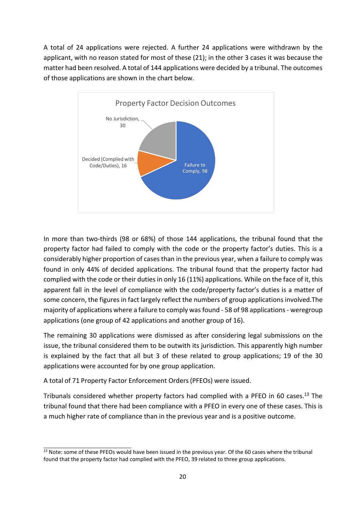A total of 24 applications were rejected. A further 24 applications were withdrawn by the applicant, with no reason stated for most of these (21); in the other 3 cases it was because the matter had been resolved. A total of 144 applications were decided by a tribunal. The outcomes of those applications are shown in the chart below.



In more than two-thirds (98 or 68%) of those 144 applications, the tribunal found that the property factor had failed to comply with the code or the property factor's duties. This is a considerably higher proportion of cases than in the previous year, when a failure to comply was found in only 44% of decided applications. The tribunal found that the property factor had complied with the code or their duties in only 16 (11%) applications. While on the face of it, this apparent fall in the level of compliance with the code/property factor's duties is a matter of some concern, the figures in fact largely reflect the numbers of group applications involved.The majority of applications where a failure to comply was found - 58 of 98 applications- weregroup applications (one group of 42 applications and another group of 16).

The remaining 30 applications were dismissed as after considering legal submissions on the issue, the tribunal considered them to be outwith its jurisdiction. This apparently high number is explained by the fact that all but 3 of these related to group applications; 19 of the 30 applications were accounted for by one group application.

A total of 71 Property Factor Enforcement Orders(PFEOs) were issued.

Tribunals considered whether property factors had complied with a PFEO in 60 case[s.](#page-21-0)<sup>13</sup> The tribunal found that there had been compliance with a PFEO in every one of these cases. This is a much higher rate of compliance than in the previous year and is a positive outcome.

<span id="page-21-0"></span><sup>&</sup>lt;sup>13</sup> Note: some of these PFEOs would have been issued in the previous year. Of the 60 cases where the tribunal found that the property factor had complied with the PFEO, 39 related to three group applications.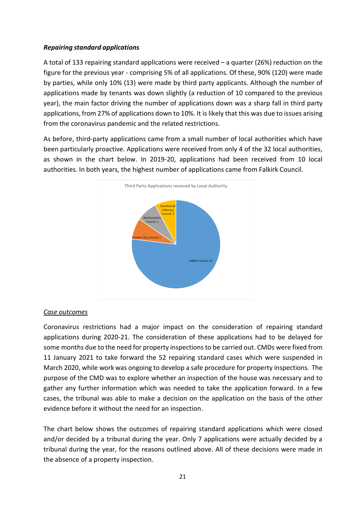#### *Repairing standard applications*

A total of 133 repairing standard applications were received – a quarter (26%) reduction on the figure for the previous year - comprising 5% of all applications. Of these, 90% (120) were made by parties, while only 10% (13) were made by third party applicants. Although the number of applications made by tenants was down slightly (a reduction of 10 compared to the previous year), the main factor driving the number of applications down was a sharp fall in third party applications, from 27% of applications down to 10%. It is likely that this was due to issues arising from the coronavirus pandemic and the related restrictions.

As before, third-party applications came from a small number of local authorities which have been particularly proactive. Applications were received from only 4 of the 32 local authorities, as shown in the chart below. In 2019-20, applications had been received from 10 local authorities. In both years, the highest number of applications came from Falkirk Council.



### *Case outcomes*

Coronavirus restrictions had a major impact on the consideration of repairing standard applications during 2020-21. The consideration of these applications had to be delayed for some months due to the need for property inspectionsto be carried out. CMDs were fixed from 11 January 2021 to take forward the 52 repairing standard cases which were suspended in March 2020, while work was ongoing to develop a safe procedure for property inspections. The purpose of the CMD was to explore whether an inspection of the house was necessary and to gather any further information which was needed to take the application forward. In a few cases, the tribunal was able to make a decision on the application on the basis of the other evidence before it without the need for an inspection.

The chart below shows the outcomes of repairing standard applications which were closed and/or decided by a tribunal during the year. Only 7 applications were actually decided by a tribunal during the year, for the reasons outlined above. All of these decisions were made in the absence of a property inspection.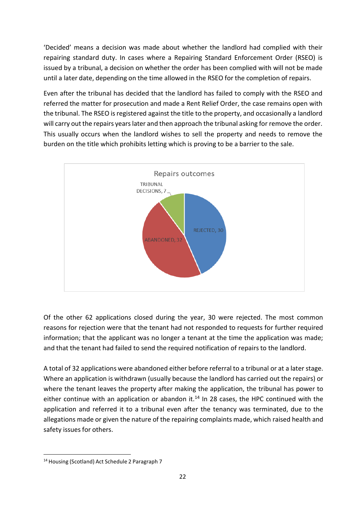'Decided' means a decision was made about whether the landlord had complied with their repairing standard duty. In cases where a Repairing Standard Enforcement Order (RSEO) is issued by a tribunal, a decision on whether the order has been complied with will not be made until a later date, depending on the time allowed in the RSEO for the completion of repairs.

Even after the tribunal has decided that the landlord has failed to comply with the RSEO and referred the matter for prosecution and made a Rent Relief Order, the case remains open with the tribunal. The RSEO is registered against the title to the property, and occasionally a landlord will carry out the repairs years later and then approach the tribunal asking for remove the order. This usually occurs when the landlord wishes to sell the property and needs to remove the burden on the title which prohibits letting which is proving to be a barrier to the sale.



Of the other 62 applications closed during the year, 30 were rejected. The most common reasons for rejection were that the tenant had not responded to requests for further required information; that the applicant was no longer a tenant at the time the application was made; and that the tenant had failed to send the required notification of repairs to the landlord.

A total of 32 applications were abandoned either before referral to a tribunal or at a later stage. Where an application is withdrawn (usually because the landlord has carried out the repairs) or where the tenant leaves the property after making the application, the tribunal has power to either continue with an application or abandon it.<sup>14</sup> In 28 cases, the HPC continued with the application and referred it to a tribunal even after the tenancy was terminated, due to the allegations made or given the nature of the repairing complaints made, which raised health and safety issues for others.

<span id="page-23-0"></span><sup>14</sup> Housing (Scotland) Act Schedule 2 Paragraph 7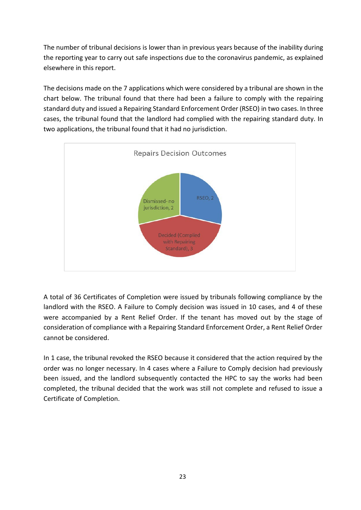The number of tribunal decisions is lower than in previous years because of the inability during the reporting year to carry out safe inspections due to the coronavirus pandemic, as explained elsewhere in this report.

The decisions made on the 7 applications which were considered by a tribunal are shown in the chart below. The tribunal found that there had been a failure to comply with the repairing standard duty and issued a Repairing Standard Enforcement Order (RSEO) in two cases. In three cases, the tribunal found that the landlord had complied with the repairing standard duty. In two applications, the tribunal found that it had no jurisdiction.



A total of 36 Certificates of Completion were issued by tribunals following compliance by the landlord with the RSEO. A Failure to Comply decision was issued in 10 cases, and 4 of these were accompanied by a Rent Relief Order. If the tenant has moved out by the stage of consideration of compliance with a Repairing Standard Enforcement Order, a Rent Relief Order cannot be considered.

In 1 case, the tribunal revoked the RSEO because it considered that the action required by the order was no longer necessary. In 4 cases where a Failure to Comply decision had previously been issued, and the landlord subsequently contacted the HPC to say the works had been completed, the tribunal decided that the work was still not complete and refused to issue a Certificate of Completion.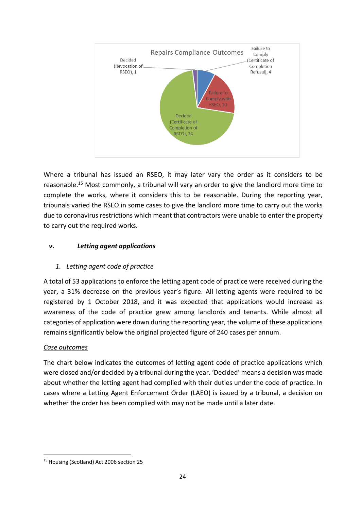

Where a tribunal has issued an RSEO, it may later vary the order as it considers to be reasonable. [15](#page-25-0) Most commonly, a tribunal will vary an order to give the landlord more time to complete the works, where it considers this to be reasonable. During the reporting year, tribunals varied the RSEO in some cases to give the landlord more time to carry out the works due to coronavirus restrictions which meant that contractors were unable to enter the property to carry out the required works.

## *v. Letting agent applications*

# *1. Letting agent code of practice*

A total of 53 applications to enforce the letting agent code of practice were received during the year, a 31% decrease on the previous year's figure. All letting agents were required to be registered by 1 October 2018, and it was expected that applications would increase as awareness of the code of practice grew among landlords and tenants. While almost all categories of application were down during the reporting year, the volume of these applications remains significantly below the original projected figure of 240 cases per annum.

## *Case outcomes*

The chart below indicates the outcomes of letting agent code of practice applications which were closed and/or decided by a tribunal during the year. 'Decided' means a decision was made about whether the letting agent had complied with their duties under the code of practice. In cases where a Letting Agent Enforcement Order (LAEO) is issued by a tribunal, a decision on whether the order has been complied with may not be made until a later date.

<span id="page-25-0"></span><sup>15</sup> Housing (Scotland) Act 2006 section 25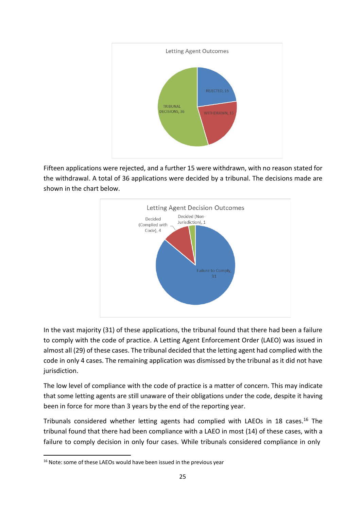

Fifteen applications were rejected, and a further 15 were withdrawn, with no reason stated for the withdrawal. A total of 36 applications were decided by a tribunal. The decisions made are shown in the chart below.



In the vast majority (31) of these applications, the tribunal found that there had been a failure to comply with the code of practice. A Letting Agent Enforcement Order (LAEO) was issued in almost all (29) of these cases. The tribunal decided that the letting agent had complied with the code in only 4 cases. The remaining application was dismissed by the tribunal as it did not have jurisdiction.

The low level of compliance with the code of practice is a matter of concern. This may indicate that some letting agents are still unaware of their obligations under the code, despite it having been in force for more than 3 years by the end of the reporting year.

Tribunals considered whether letting agents had complied with LAEOs in 18 cases. [16](#page-26-0) The tribunal found that there had been compliance with a LAEO in most (14) of these cases, with a failure to comply decision in only four cases. While tribunals considered compliance in only

<span id="page-26-0"></span><sup>&</sup>lt;sup>16</sup> Note: some of these LAEOs would have been issued in the previous year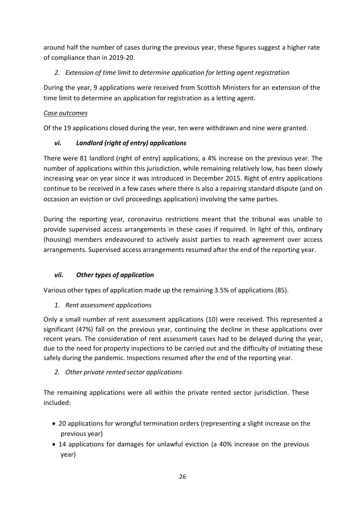around half the number of cases during the previous year, these figures suggest a higher rate of compliance than in 2019-20.

# *2. Extension of time limit to determine application for letting agent registration*

During the year, 9 applications were received from Scottish Ministers for an extension of the time limit to determine an application for registration as a letting agent.

## *Case outcomes*

Of the 19 applications closed during the year, ten were withdrawn and nine were granted.

# *vi. Landlord (right of entry) applications*

There were 81 landlord (right of entry) applications, a 4% increase on the previous year. The number of applications within this jurisdiction, while remaining relatively low, has been slowly increasing year on year since it was introduced in December 2015. Right of entry applications continue to be received in a few cases where there is also a repairing standard dispute (and on occasion an eviction or civil proceedings application) involving the same parties.

During the reporting year, coronavirus restrictions meant that the tribunal was unable to provide supervised access arrangements in these cases if required. In light of this, ordinary (housing) members endeavoured to actively assist parties to reach agreement over access arrangements. Supervised access arrangements resumed after the end of the reporting year.

# *vii. Other types of application*

Various other types of application made up the remaining 3.5% of applications (85).

# *1. Rent assessment applications*

Only a small number of rent assessment applications (10) were received. This represented a significant (47%) fall on the previous year, continuing the decline in these applications over recent years. The consideration of rent assessment cases had to be delayed during the year, due to the need for property inspections to be carried out and the difficulty of initiating these safely during the pandemic. Inspections resumed after the end of the reporting year.

# *2. Other private rented sector applications*

The remaining applications were all within the private rented sector jurisdiction. These included:

- 20 applications for wrongful termination orders (representing a slight increase on the previous year)
- 14 applications for damages for unlawful eviction (a 40% increase on the previous year)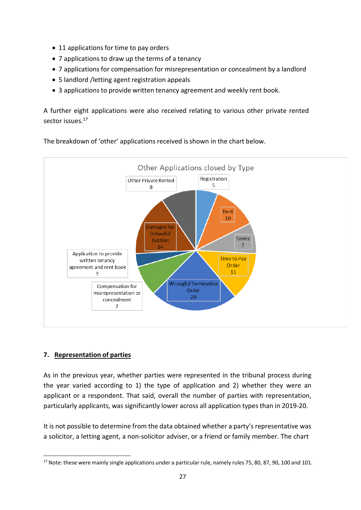- 11 applications for time to pay orders
- 7 applications to draw up the terms of a tenancy
- 7 applications for compensation for misrepresentation or concealment by a landlord
- 5 landlord /letting agent registration appeals
- 3 applications to provide written tenancy agreement and weekly rent book.

A further eight applications were also received relating to various other private rented sector issues.<sup>17</sup>



The breakdown of 'other' applications received isshown in the chart below.

## **7. Representation of parties**

As in the previous year, whether parties were represented in the tribunal process during the year varied according to 1) the type of application and 2) whether they were an applicant or a respondent. That said, overall the number of parties with representation, particularly applicants, was significantly lower across all application types than in 2019-20.

It is not possible to determine from the data obtained whether a party's representative was a solicitor, a letting agent, a non-solicitor adviser, or a friend or family member. The chart

<span id="page-28-0"></span> $17$  Note: these were mainly single applications under a particular rule, namely rules 75, 80, 87, 90, 100 and 101.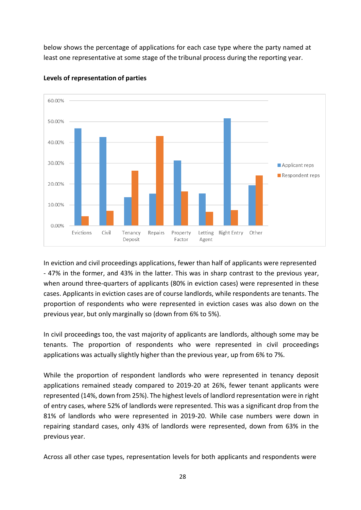below shows the percentage of applications for each case type where the party named at least one representative at some stage of the tribunal process during the reporting year.



**Levels of representation of parties**

In eviction and civil proceedings applications, fewer than half of applicants were represented - 47% in the former, and 43% in the latter. This was in sharp contrast to the previous year, when around three-quarters of applicants (80% in eviction cases) were represented in these cases. Applicants in eviction cases are of course landlords, while respondents are tenants. The proportion of respondents who were represented in eviction cases was also down on the previous year, but only marginally so (down from 6% to 5%).

In civil proceedings too, the vast majority of applicants are landlords, although some may be tenants. The proportion of respondents who were represented in civil proceedings applications was actually slightly higher than the previous year, up from 6% to 7%.

While the proportion of respondent landlords who were represented in tenancy deposit applications remained steady compared to 2019-20 at 26%, fewer tenant applicants were represented (14%, down from 25%). The highest levels of landlord representation were in right of entry cases, where 52% of landlords were represented. This was a significant drop from the 81% of landlords who were represented in 2019-20. While case numbers were down in repairing standard cases, only 43% of landlords were represented, down from 63% in the previous year.

Across all other case types, representation levels for both applicants and respondents were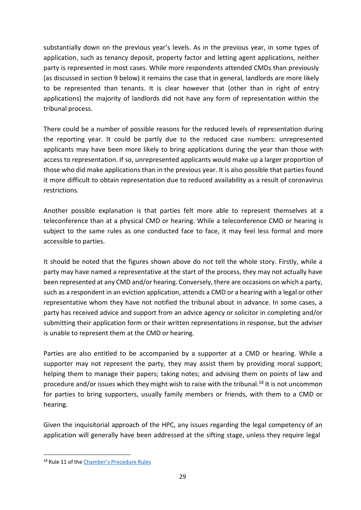substantially down on the previous year's levels. As in the previous year, in some types of application, such as tenancy deposit, property factor and letting agent applications, neither party is represented in most cases. While more respondents attended CMDs than previously (as discussed in section 9 below) it remains the case that in general, landlords are more likely to be represented than tenants. It is clear however that (other than in right of entry applications) the majority of landlords did not have any form of representation within the tribunal process.

There could be a number of possible reasons for the reduced levels of representation during the reporting year. It could be partly due to the reduced case numbers: unrepresented applicants may have been more likely to bring applications during the year than those with access to representation. If so, unrepresented applicants would make up a larger proportion of those who did make applications than in the previous year. It is also possible that parties found it more difficult to obtain representation due to reduced availability as a result of coronavirus restrictions.

Another possible explanation is that parties felt more able to represent themselves at a teleconference than at a physical CMD or hearing. While a teleconference CMD or hearing is subject to the same rules as one conducted face to face, it may feel less formal and more accessible to parties.

It should be noted that the figures shown above do not tell the whole story. Firstly, while a party may have named a representative at the start of the process, they may not actually have been represented at any CMD and/or hearing. Conversely, there are occasions on which a party, such as a respondent in an eviction application, attends a CMD or a hearing with a legal or other representative whom they have not notified the tribunal about in advance. In some cases, a party has received advice and support from an advice agency or solicitor in completing and/or submitting their application form or their written representations in response, but the adviser is unable to represent them at the CMD or hearing.

Parties are also entitled to be accompanied by a supporter at a CMD or hearing. While a supporter may not represent the party, they may assist them by providing moral support; helping them to manage their papers; taking notes; and advising them on points of law and procedure and/or issues which they might wish to raise with the tribunal.<sup>18</sup> It is not uncommon for parties to bring supporters, usually family members or friends, with them to a CMD or hearing.

Given the inquisitorial approach of the HPC, any issues regarding the legal competency of an application will generally have been addressed at the sifting stage, unless they require legal

<span id="page-30-0"></span><sup>&</sup>lt;sup>18</sup> Rule 11 of the [Chamber's](http://www.legislation.gov.uk/ssi/2017/328/contents) Procedure Rules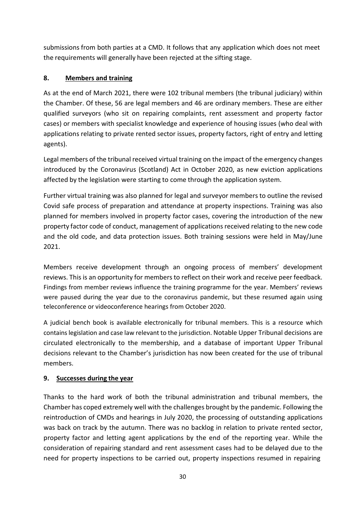submissions from both parties at a CMD. It follows that any application which does not meet the requirements will generally have been rejected at the sifting stage.

## **8. Members and training**

As at the end of March 2021, there were 102 tribunal members (the tribunal judiciary) within the Chamber. Of these, 56 are legal members and 46 are ordinary members. These are either qualified surveyors (who sit on repairing complaints, rent assessment and property factor cases) or members with specialist knowledge and experience of housing issues (who deal with applications relating to private rented sector issues, property factors, right of entry and letting agents).

Legal members of the tribunal received virtual training on the impact of the emergency changes introduced by the Coronavirus (Scotland) Act in October 2020, as new eviction applications affected by the legislation were starting to come through the application system.

Further virtual training was also planned for legal and surveyor members to outline the revised Covid safe process of preparation and attendance at property inspections. Training was also planned for members involved in property factor cases, covering the introduction of the new property factor code of conduct, management of applications received relating to the new code and the old code, and data protection issues. Both training sessions were held in May/June 2021.

Members receive development through an ongoing process of members' development reviews. This is an opportunity for members to reflect on their work and receive peer feedback. Findings from member reviews influence the training programme for the year. Members' reviews were paused during the year due to the coronavirus pandemic, but these resumed again using teleconference or videoconference hearings from October 2020.

A judicial bench book is available electronically for tribunal members. This is a resource which containslegislation and case law relevant to the jurisdiction. Notable Upper Tribunal decisions are circulated electronically to the membership, and a database of important Upper Tribunal decisions relevant to the Chamber's jurisdiction has now been created for the use of tribunal members.

## **9. Successes during the year**

Thanks to the hard work of both the tribunal administration and tribunal members, the Chamber has coped extremely well with the challenges brought by the pandemic. Following the reintroduction of CMDs and hearings in July 2020, the processing of outstanding applications was back on track by the autumn. There was no backlog in relation to private rented sector, property factor and letting agent applications by the end of the reporting year. While the consideration of repairing standard and rent assessment cases had to be delayed due to the need for property inspections to be carried out, property inspections resumed in repairing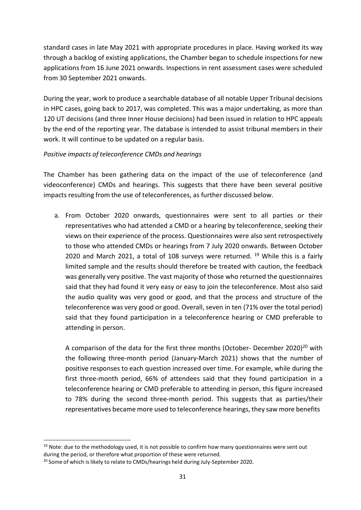standard cases in late May 2021 with appropriate procedures in place. Having worked its way through a backlog of existing applications, the Chamber began to schedule inspections for new applications from 16 June 2021 onwards. Inspections in rent assessment cases were scheduled from 30 September 2021 onwards.

During the year, work to produce a searchable database of all notable Upper Tribunal decisions in HPC cases, going back to 2017, was completed. This was a major undertaking, as more than 120 UT decisions (and three Inner House decisions) had been issued in relation to HPC appeals by the end of the reporting year. The database is intended to assist tribunal members in their work. It will continue to be updated on a regular basis.

### *Positive impacts of teleconference CMDs and hearings*

The Chamber has been gathering data on the impact of the use of teleconference (and videoconference) CMDs and hearings. This suggests that there have been several positive impacts resulting from the use of teleconferences, as further discussed below.

a. From October 2020 onwards, questionnaires were sent to all parties or their representatives who had attended a CMD or a hearing by teleconference, seeking their views on their experience of the process. Questionnaires were also sent retrospectively to those who attended CMDs or hearings from 7 July 2020 onwards. Between October 2020 and March 2021, a total of 108 surveys were returned.  $^{19}$  While this is a fairly limited sample and the results should therefore be treated with caution, the feedback was generally very positive. The vast majority of those who returned the questionnaires said that they had found it very easy or easy to join the teleconference. Most also said the audio quality was very good or good, and that the process and structure of the teleconference was very good or good. Overall, seven in ten (71% over the total period) said that they found participation in a teleconference hearing or CMD preferable to attending in person.

A comparison of the data for the first three months (October- December 2020)<sup>20</sup> with the following three-month period (January-March 2021) shows that the number of positive responses to each question increased over time. For example, while during the first three-month period, 66% of attendees said that they found participation in a teleconference hearing or CMD preferable to attending in person, this figure increased to 78% during the second three-month period. This suggests that as parties/their representatives became more used to teleconference hearings, they saw more benefits

<span id="page-32-0"></span> $19$  Note: due to the methodology used, it is not possible to confirm how many questionnaires were sent out during the period, or therefore what proportion of these were returned.

<span id="page-32-1"></span><sup>&</sup>lt;sup>20</sup> Some of which is likely to relate to CMDs/hearings held during July-September 2020.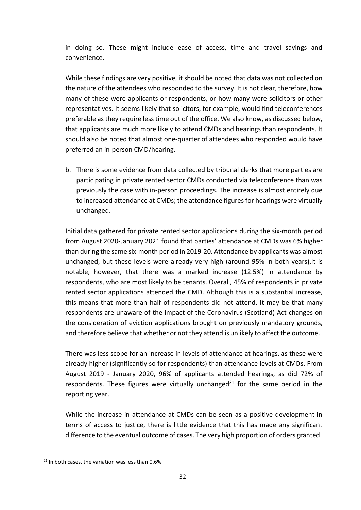in doing so. These might include ease of access, time and travel savings and convenience.

While these findings are very positive, it should be noted that data was not collected on the nature of the attendees who responded to the survey. It is not clear, therefore, how many of these were applicants or respondents, or how many were solicitors or other representatives. It seems likely that solicitors, for example, would find teleconferences preferable asthey require less time out of the office. We also know, as discussed below, that applicants are much more likely to attend CMDs and hearings than respondents. It should also be noted that almost one-quarter of attendees who responded would have preferred an in-person CMD/hearing.

b. There is some evidence from data collected by tribunal clerks that more parties are participating in private rented sector CMDs conducted via teleconference than was previously the case with in-person proceedings. The increase is almost entirely due to increased attendance at CMDs; the attendance figures for hearings were virtually unchanged.

Initial data gathered for private rented sector applications during the six-month period from August 2020-January 2021 found that parties' attendance at CMDs was 6% higher than during the same six-month period in 2019-20. Attendance by applicants was almost unchanged, but these levels were already very high (around 95% in both years).It is notable, however, that there was a marked increase (12.5%) in attendance by respondents, who are most likely to be tenants. Overall, 45% of respondents in private rented sector applications attended the CMD. Although this is a substantial increase, this means that more than half of respondents did not attend. It may be that many respondents are unaware of the impact of the Coronavirus (Scotland) Act changes on the consideration of eviction applications brought on previously mandatory grounds, and therefore believe that whether or not they attend is unlikely to affect the outcome.

There was less scope for an increase in levels of attendance at hearings, as these were already higher (significantly so for respondents) than attendance levels at CMDs. From August 2019 - January 2020, 96% of applicants attended hearings, as did 72% of respondents. These figures were virtually unchanged<sup>21</sup> for the same period in the reporting year.

While the increase in attendance at CMDs can be seen as a positive development in terms of access to justice, there is little evidence that this has made any significant difference to the eventual outcome of cases. The very high proportion of orders granted

<span id="page-33-0"></span> $21$  In both cases, the variation was less than 0.6%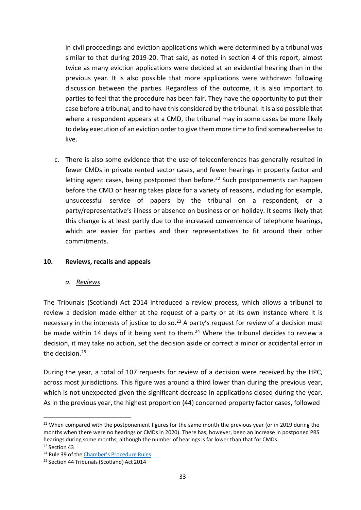in civil proceedings and eviction applications which were determined by a tribunal was similar to that during 2019-20. That said, as noted in section 4 of this report, almost twice as many eviction applications were decided at an evidential hearing than in the previous year. It is also possible that more applications were withdrawn following discussion between the parties. Regardless of the outcome, it is also important to parties to feel that the procedure has been fair. They have the opportunity to put their case before a tribunal, and to have this considered by the tribunal. It is also possible that where a respondent appears at a CMD, the tribunal may in some cases be more likely to delay execution of an eviction order to give them more time to find somewhereelse to live.

c. There is also some evidence that the use of teleconferences has generally resulted in fewer CMDs in private rented sector cases, and fewer hearings in property factor and letting agent cases, being postponed than before.<sup>[22](#page-34-0)</sup> Such postponements can happen before the CMD or hearing takes place for a variety of reasons, including for example, unsuccessful service of papers by the tribunal on a respondent, or a party/representative's illness or absence on business or on holiday. It seems likely that this change is at least partly due to the increased convenience of telephone hearings, which are easier for parties and their representatives to fit around their other commitments.

### **10. Reviews, recalls and appeals**

#### *a. Reviews*

The Tribunals (Scotland) Act 2014 introduced a review process, which allows a tribunal to review a decision made either at the request of a party or at its own instance where it is necessary in the interests of justice to do s[o.](#page-34-1)<sup>23</sup> A party's request for review of a decision must be made within 14 days of it being sent to them.<sup>[24](#page-34-2)</sup> Where the tribunal decides to review a decision, it may take no action, set the decision aside or correct a minor or accidental error in the decision. [25](#page-34-3)

During the year, a total of 107 requests for review of a decision were received by the HPC, across most jurisdictions. This figure was around a third lower than during the previous year, which is not unexpected given the significant decrease in applications closed during the year. As in the previous year, the highest proportion (44) concerned property factor cases, followed

<span id="page-34-1"></span><span id="page-34-0"></span><sup>&</sup>lt;sup>22</sup> When compared with the postponement figures for the same month the previous year (or in 2019 during the months when there were no hearings or CMDs in 2020). There has, however, been an increase in postponed PRS hearings during some months, although the number of hearings is far lower than that for CMDs. <sup>23</sup> Section 43

<span id="page-34-2"></span><sup>&</sup>lt;sup>24</sup> Rule 39 of the [Chamber's](http://www.legislation.gov.uk/ssi/2017/328/contents) Procedure Rules

<span id="page-34-3"></span><sup>&</sup>lt;sup>25</sup> Section 44 Tribunals (Scotland) Act 2014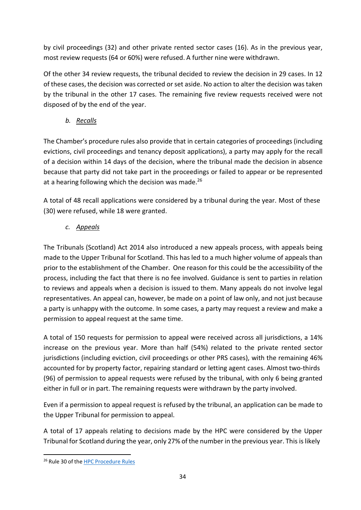by civil proceedings (32) and other private rented sector cases (16). As in the previous year, most review requests (64 or 60%) were refused. A further nine were withdrawn.

Of the other 34 review requests, the tribunal decided to review the decision in 29 cases. In 12 of these cases, the decision was corrected or set aside. No action to alter the decision was taken by the tribunal in the other 17 cases. The remaining five review requests received were not disposed of by the end of the year.

*b. Recalls*

The Chamber's procedure rules also provide that in certain categories of proceedings (including evictions, civil proceedings and tenancy deposit applications), a party may apply for the recall of a decision within 14 days of the decision, where the tribunal made the decision in absence because that party did not take part in the proceedings or failed to appear or be represented at a hearing following which the decision was made.<sup>[26](#page-35-0)</sup>

A total of 48 recall applications were considered by a tribunal during the year. Most of these (30) were refused, while 18 were granted.

*c. Appeals*

The Tribunals (Scotland) Act 2014 also introduced a new appeals process, with appeals being made to the Upper Tribunal for Scotland. This has led to a much higher volume of appeals than prior to the establishment of the Chamber. One reason for this could be the accessibility of the process, including the fact that there is no fee involved. Guidance is sent to parties in relation to reviews and appeals when a decision is issued to them. Many appeals do not involve legal representatives. An appeal can, however, be made on a point of law only, and not just because a party is unhappy with the outcome. In some cases, a party may request a review and make a permission to appeal request at the same time.

A total of 150 requests for permission to appeal were received across all jurisdictions, a 14% increase on the previous year. More than half (54%) related to the private rented sector jurisdictions (including eviction, civil proceedings or other PRS cases), with the remaining 46% accounted for by property factor, repairing standard or letting agent cases. Almost two-thirds (96) of permission to appeal requests were refused by the tribunal, with only 6 being granted either in full or in part. The remaining requests were withdrawn by the party involved.

Even if a permission to appeal request is refused by the tribunal, an application can be made to the Upper Tribunal for permission to appeal.

A total of 17 appeals relating to decisions made by the HPC were considered by the Upper Tribunal for Scotland during the year, only 27% ofthe number in the previous year. This islikely

<span id="page-35-0"></span><sup>&</sup>lt;sup>26</sup> Rule 30 of the HPC [Procedure](https://www.legislation.gov.uk/ssi/2017/328) Rules